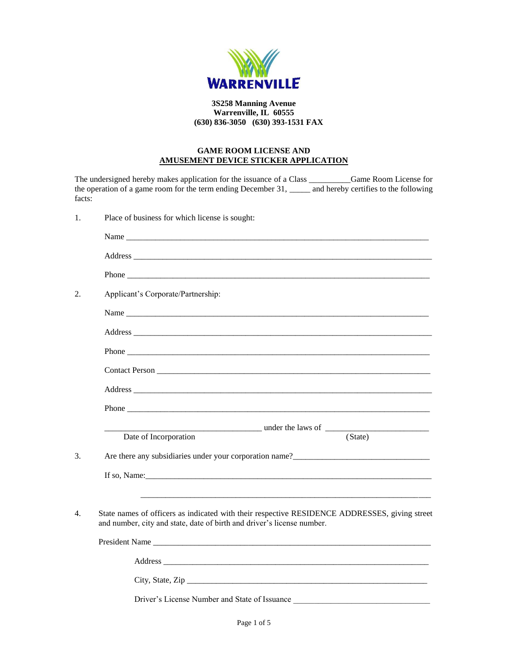

## **3S258 Manning Avenue Warrenville, IL 60555 (630) 836-3050 (630) 393-1531 FAX**

## **GAME ROOM LICENSE AND AMUSEMENT DEVICE STICKER APPLICATION**

| facts: | The undersigned hereby makes application for the issuance of a Class _____________Game Room License for<br>the operation of a game room for the term ending December 31, ______ and hereby certifies to the following          |  |  |
|--------|--------------------------------------------------------------------------------------------------------------------------------------------------------------------------------------------------------------------------------|--|--|
| 1.     | Place of business for which license is sought:                                                                                                                                                                                 |  |  |
|        | Name was a series of the series of the series of the series of the series of the series of the series of the series of the series of the series of the series of the series of the series of the series of the series of the s |  |  |
|        |                                                                                                                                                                                                                                |  |  |
|        |                                                                                                                                                                                                                                |  |  |
| 2.     | Applicant's Corporate/Partnership:                                                                                                                                                                                             |  |  |
|        | Name                                                                                                                                                                                                                           |  |  |
|        |                                                                                                                                                                                                                                |  |  |
|        |                                                                                                                                                                                                                                |  |  |
|        |                                                                                                                                                                                                                                |  |  |
|        |                                                                                                                                                                                                                                |  |  |
|        |                                                                                                                                                                                                                                |  |  |
|        |                                                                                                                                                                                                                                |  |  |
|        | Date of Incorporation<br>(State)                                                                                                                                                                                               |  |  |
| 3.     |                                                                                                                                                                                                                                |  |  |
|        |                                                                                                                                                                                                                                |  |  |
| 4.     | State names of officers as indicated with their respective RESIDENCE ADDRESSES, giving street                                                                                                                                  |  |  |
|        | and number, city and state, date of birth and driver's license number.                                                                                                                                                         |  |  |
|        |                                                                                                                                                                                                                                |  |  |
|        |                                                                                                                                                                                                                                |  |  |
|        |                                                                                                                                                                                                                                |  |  |
|        | Driver's License Number and State of Issuance                                                                                                                                                                                  |  |  |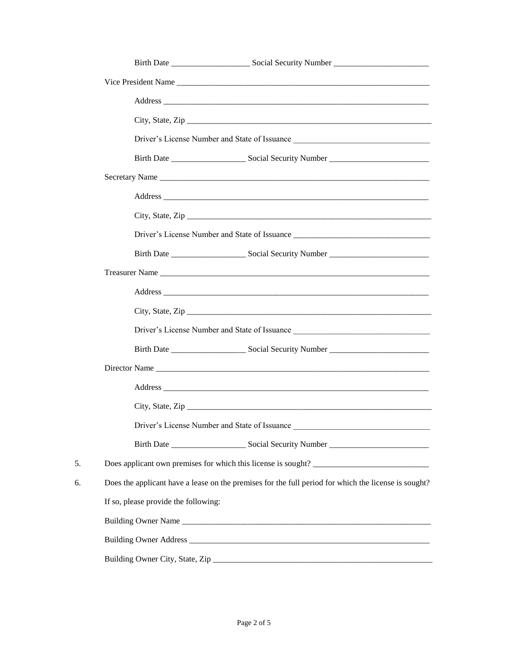|    | City, State, Zip                                                                                                                                                      |  |  |  |  |
|----|-----------------------------------------------------------------------------------------------------------------------------------------------------------------------|--|--|--|--|
|    | Driver's License Number and State of Issuance                                                                                                                         |  |  |  |  |
|    |                                                                                                                                                                       |  |  |  |  |
|    | Secretary Name                                                                                                                                                        |  |  |  |  |
|    |                                                                                                                                                                       |  |  |  |  |
|    | City, State, Zip                                                                                                                                                      |  |  |  |  |
|    | Driver's License Number and State of Issuance __________________________________                                                                                      |  |  |  |  |
|    |                                                                                                                                                                       |  |  |  |  |
|    |                                                                                                                                                                       |  |  |  |  |
|    |                                                                                                                                                                       |  |  |  |  |
|    |                                                                                                                                                                       |  |  |  |  |
|    | Driver's License Number and State of Issuance __________________________________                                                                                      |  |  |  |  |
|    |                                                                                                                                                                       |  |  |  |  |
|    |                                                                                                                                                                       |  |  |  |  |
|    |                                                                                                                                                                       |  |  |  |  |
|    |                                                                                                                                                                       |  |  |  |  |
|    | Driver's License Number and State of Issuance<br><u> 1989 - Johann John Stein, markin film yn y brenin y brenin y brenin y brenin y brenin y brenin y brenin y br</u> |  |  |  |  |
|    |                                                                                                                                                                       |  |  |  |  |
| 5. | Does applicant own premises for which this license is sought?                                                                                                         |  |  |  |  |
| 6. | Does the applicant have a lease on the premises for the full period for which the license is sought?                                                                  |  |  |  |  |
|    | If so, please provide the following:                                                                                                                                  |  |  |  |  |
|    |                                                                                                                                                                       |  |  |  |  |
|    |                                                                                                                                                                       |  |  |  |  |
|    |                                                                                                                                                                       |  |  |  |  |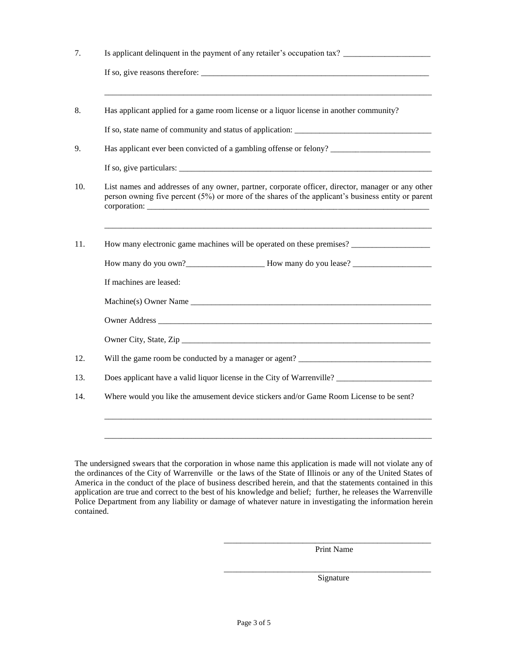| Is applicant delinquent in the payment of any retailer's occupation tax? __________________________                                                                                                                                                                              |  |  |
|----------------------------------------------------------------------------------------------------------------------------------------------------------------------------------------------------------------------------------------------------------------------------------|--|--|
| If so, give reasons therefore: $\frac{1}{2}$ [10] $\frac{1}{2}$ [10] $\frac{1}{2}$ [10] $\frac{1}{2}$ [10] $\frac{1}{2}$ [10] $\frac{1}{2}$ [10] $\frac{1}{2}$ [10] $\frac{1}{2}$ [10] $\frac{1}{2}$ [10] $\frac{1}{2}$ [10] $\frac{1}{2}$ [10] $\frac{1}{2}$ [10] $\frac{1}{2}$ |  |  |
| Has applicant applied for a game room license or a liquor license in another community?                                                                                                                                                                                          |  |  |
|                                                                                                                                                                                                                                                                                  |  |  |
| Has applicant ever been convicted of a gambling offense or felony?                                                                                                                                                                                                               |  |  |
|                                                                                                                                                                                                                                                                                  |  |  |
| List names and addresses of any owner, partner, corporate officer, director, manager or any other<br>person owning five percent (5%) or more of the shares of the applicant's business entity or parent<br>corporation:                                                          |  |  |
| How many electronic game machines will be operated on these premises?                                                                                                                                                                                                            |  |  |
|                                                                                                                                                                                                                                                                                  |  |  |
| If machines are leased:                                                                                                                                                                                                                                                          |  |  |
| Machine(s) Owner Name                                                                                                                                                                                                                                                            |  |  |
| Owner Address Communication of the Communication of the Communication of the Communication of the Communication of the Communication of the Communication of the Communication of the Communication of the Communication of th                                                   |  |  |
|                                                                                                                                                                                                                                                                                  |  |  |
| Will the game room be conducted by a manager or agent? __________________________                                                                                                                                                                                                |  |  |
| Does applicant have a valid liquor license in the City of Warrenville?                                                                                                                                                                                                           |  |  |
| Where would you like the amusement device stickers and/or Game Room License to be sent?                                                                                                                                                                                          |  |  |
|                                                                                                                                                                                                                                                                                  |  |  |
|                                                                                                                                                                                                                                                                                  |  |  |

The undersigned swears that the corporation in whose name this application is made will not violate any of the ordinances of the City of Warrenville or the laws of the State of Illinois or any of the United States of America in the conduct of the place of business described herein, and that the statements contained in this application are true and correct to the best of his knowledge and belief; further, he releases the Warrenville Police Department from any liability or damage of whatever nature in investigating the information herein contained.

Print Name

\_\_\_\_\_\_\_\_\_\_\_\_\_\_\_\_\_\_\_\_\_\_\_\_\_\_\_\_\_\_\_\_\_\_\_\_\_\_\_\_\_\_\_\_\_\_\_\_\_\_

\_\_\_\_\_\_\_\_\_\_\_\_\_\_\_\_\_\_\_\_\_\_\_\_\_\_\_\_\_\_\_\_\_\_\_\_\_\_\_\_\_\_\_\_\_\_\_\_\_\_ Signature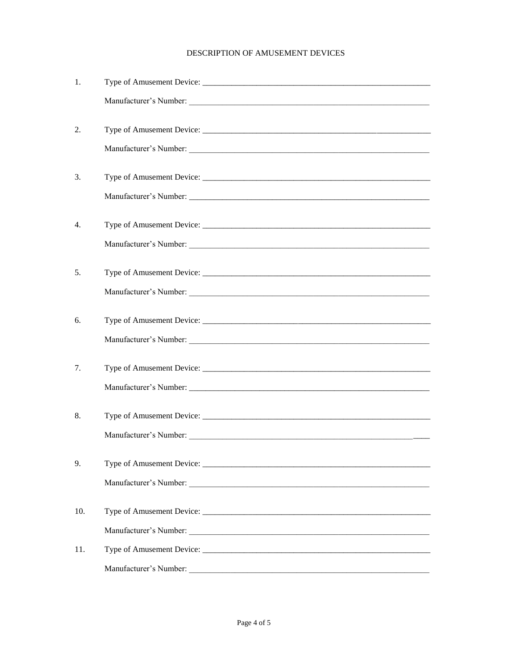## DESCRIPTION OF AMUSEMENT DEVICES

| 1.  |                                                                                                                                                  |
|-----|--------------------------------------------------------------------------------------------------------------------------------------------------|
|     |                                                                                                                                                  |
| 2.  |                                                                                                                                                  |
|     |                                                                                                                                                  |
| 3.  |                                                                                                                                                  |
|     |                                                                                                                                                  |
| 4.  |                                                                                                                                                  |
|     |                                                                                                                                                  |
| 5.  |                                                                                                                                                  |
|     |                                                                                                                                                  |
| 6.  |                                                                                                                                                  |
|     |                                                                                                                                                  |
| 7.  |                                                                                                                                                  |
|     |                                                                                                                                                  |
| 8.  |                                                                                                                                                  |
|     |                                                                                                                                                  |
| 9.  |                                                                                                                                                  |
|     |                                                                                                                                                  |
| 10. |                                                                                                                                                  |
|     |                                                                                                                                                  |
| 11. |                                                                                                                                                  |
|     | Manufacturer's Number:<br><u> 1989 - Johann Stoff, deutscher Stoffen und der Stoffen und der Stoffen und der Stoffen und der Stoffen und der</u> |